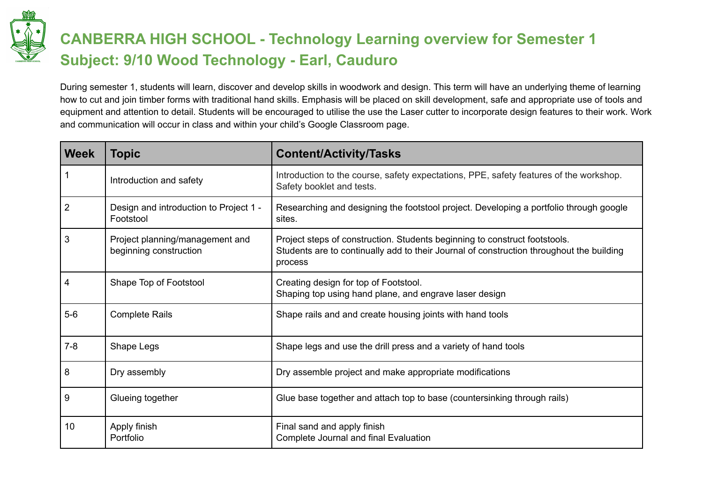

## **CANBERRA HIGH SCHOOL - Technology Learning overview for Semester 1 Subject: 9/10 Wood Technology - Earl, Cauduro**

During semester 1, students will learn, discover and develop skills in woodwork and design. This term will have an underlying theme of learning how to cut and join timber forms with traditional hand skills. Emphasis will be placed on skill development, safe and appropriate use of tools and equipment and attention to detail. Students will be encouraged to utilise the use the Laser cutter to incorporate design features to their work. Work and communication will occur in class and within your child's Google Classroom page.

| <b>Week</b>    | <b>Topic</b>                                              | <b>Content/Activity/Tasks</b>                                                                                                                                                     |
|----------------|-----------------------------------------------------------|-----------------------------------------------------------------------------------------------------------------------------------------------------------------------------------|
|                | Introduction and safety                                   | Introduction to the course, safety expectations, PPE, safety features of the workshop.<br>Safety booklet and tests.                                                               |
| $\overline{2}$ | Design and introduction to Project 1 -<br>Footstool       | Researching and designing the footstool project. Developing a portfolio through google<br>sites.                                                                                  |
| 3              | Project planning/management and<br>beginning construction | Project steps of construction. Students beginning to construct footstools.<br>Students are to continually add to their Journal of construction throughout the building<br>process |
| 4              | Shape Top of Footstool                                    | Creating design for top of Footstool.<br>Shaping top using hand plane, and engrave laser design                                                                                   |
| $5-6$          | <b>Complete Rails</b>                                     | Shape rails and and create housing joints with hand tools                                                                                                                         |
| $7 - 8$        | Shape Legs                                                | Shape legs and use the drill press and a variety of hand tools                                                                                                                    |
| 8              | Dry assembly                                              | Dry assemble project and make appropriate modifications                                                                                                                           |
| 9              | Glueing together                                          | Glue base together and attach top to base (countersinking through rails)                                                                                                          |
| 10             | Apply finish<br>Portfolio                                 | Final sand and apply finish<br>Complete Journal and final Evaluation                                                                                                              |